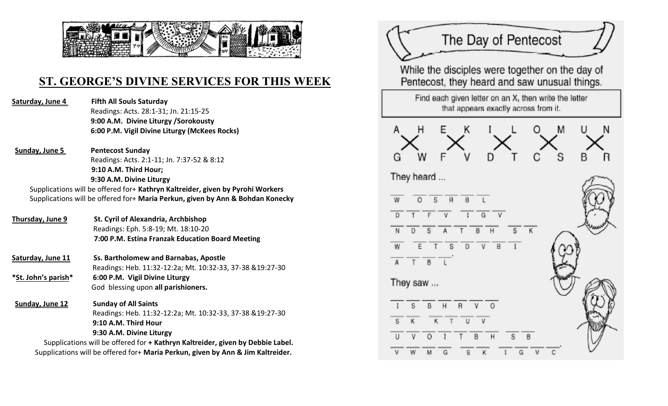

## **ST. GEORGE'S DIVINE SERVICES FOR THIS WEEK**

**Saturday, June 4 Fifth All Souls Saturday**  Readings: Acts. 28:1-31; Jn. 21:15-25 **9:00 A.M. Divine Liturgy /Sorokousty 6:00 P.M. Vigil Divine Liturgy (McKees Rocks)**

**Sunday, June 5 Pentecost Sunday** Readings: Acts. 2:1-11; Jn. 7:37-52 & 8:12  **9:10 A.M. Third Hour; 9:30 A.M. Divine Liturgy** Supplications will be offered for+ **Kathryn Kaltreider, given by Pyrohi Workers**

Supplications will be offered for+ **Maria Perkun, given by Ann & Bohdan Konecky**

- **Thursday, June 9 St. Cyril of Alexandria, Archbishop** Readings: Eph. 5:8-19; Mt. 18:10-20  **7:00 P.M. Estina Franzak Education Board Meeting**
- **Saturday, June 11 Ss. Bartholomew and Barnabas, Apostle** Readings: Heb. 11:32-12:2a; Mt. 10:32-33, 37-38 &19:27-30 **\*St. John's parish\* 6:00 P.M. Vigil Divine Liturgy**  God blessing upon **all parishioners.**

**Sunday, June 12 Sunday of All Saints** Readings: Heb. 11:32-12:2a; Mt. 10:32-33, 37-38 &19:27-30  **9:10 A.M. Third Hour 9:30 A.M. Divine Liturgy**

Supplications will be offered for **+ Kathryn Kaltreider, given by Debbie Label.** Supplications will be offered for+ **Maria Perkun, given by Ann & Jim Kaltreider.**

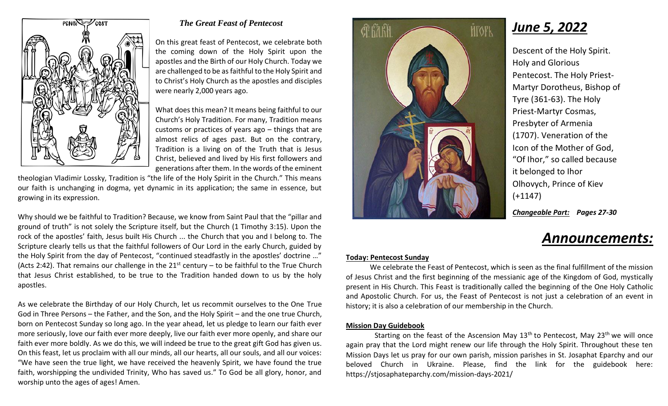

#### *The Great Feast of Pentecost*

On this great feast of Pentecost, we celebrate both the coming down of the Holy Spirit upon the apostles and the Birth of our Holy Church. Today we are challenged to be as faithful to the Holy Spirit and to Christ's Holy Church as the apostles and disciples were nearly 2,000 years ago.

What does this mean? It means being faithful to our Church's Holy Tradition. For many, Tradition means customs or practices of years ago – things that are almost relics of ages past. But on the contrary, Tradition is a living on of the Truth that is Jesus Christ, believed and lived by His first followers and generations after them. In the words of the eminent

theologian Vladimir Lossky, Tradition is "the life of the Holy Spirit in the Church." This means our faith is unchanging in dogma, yet dynamic in its application; the same in essence, but growing in its expression.

Why should we be faithful to Tradition? Because, we know from Saint Paul that the "pillar and ground of truth" is not solely the Scripture itself, but the Church (1 Timothy 3:15). Upon the rock of the apostles' faith, Jesus built His Church ... the Church that you and I belong to. The Scripture clearly tells us that the faithful followers of Our Lord in the early Church, guided by the Holy Spirit from the day of Pentecost, "continued steadfastly in the apostles' doctrine …" (Acts 2:42). That remains our challenge in the  $21^{st}$  century – to be faithful to the True Church that Jesus Christ established, to be true to the Tradition handed down to us by the holy apostles.

As we celebrate the Birthday of our Holy Church, let us recommit ourselves to the One True God in Three Persons – the Father, and the Son, and the Holy Spirit – and the one true Church, born on Pentecost Sunday so long ago. In the year ahead, let us pledge to learn our faith ever more seriously, love our faith ever more deeply, live our faith ever more openly, and share our faith ever more boldly. As we do this, we will indeed be true to the great gift God has given us. On this feast, let us proclaim with all our minds, all our hearts, all our souls, and all our voices: "We have seen the true light, we have received the heavenly Spirit, we have found the true faith, worshipping the undivided Trinity, Who has saved us." To God be all glory, honor, and worship unto the ages of ages! Amen.



*June 5, 2022*

Descent of the Holy Spirit. Holy and Glorious Pentecost. The Holy Priest-Martyr Dorotheus, Bishop of Tyre (361-63). The Holy Priest-Martyr Cosmas, Presbyter of Armenia (1707). Veneration of the Icon of the Mother of God, "Of Ihor," so called because it belonged to Ihor Olhovych, Prince of Kiev (+1147)

*Changeable Part: Pages 27-30*

# *Announcements:*

#### **Today: Pentecost Sunday**

We celebrate the Feast of Pentecost, which is seen as the final fulfillment of the mission of Jesus Christ and the first beginning of the messianic age of the Kingdom of God, mystically present in His Church. This Feast is traditionally called the beginning of the One Holy Catholic and Apostolic Church. For us, the Feast of Pentecost is not just a celebration of an event in history; it is also a celebration of our membership in the Church.

#### **Mission Day Guidebook**

Starting on the feast of the Ascension May  $13<sup>th</sup>$  to Pentecost, May  $23<sup>th</sup>$  we will once again pray that the Lord might renew our life through the Holy Spirit. Throughout these ten Mission Days let us pray for our own parish, mission parishes in St. Josaphat Eparchy and our beloved Church in Ukraine. Please, find the link for the guidebook here: https://stjosaphateparchy.com/mission-days-2021/